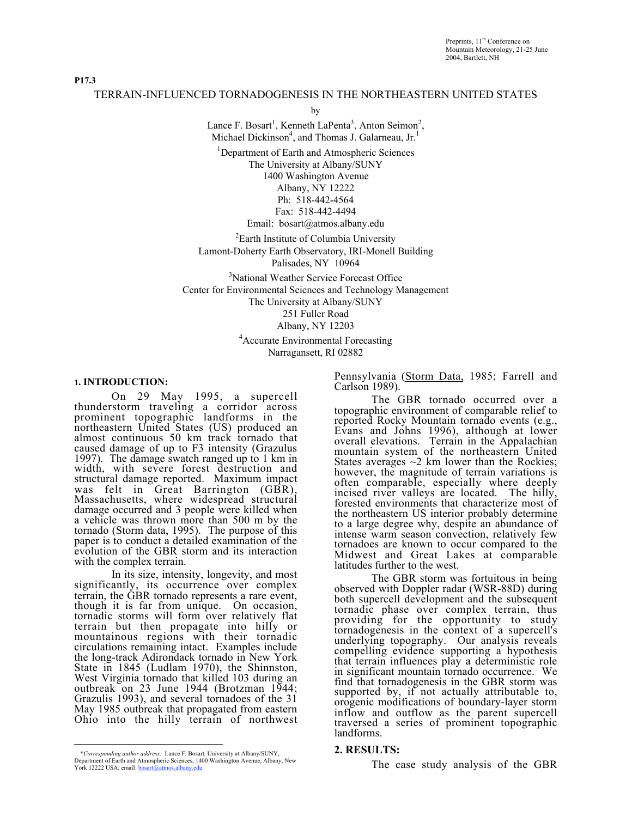P17.3

# TERRAIN-INFLUENCED TORNADOGENESIS IN THE NORTHEASTERN UNITED STATES

by

Lance F. Bosart<sup>1</sup>, Kenneth LaPenta<sup>3</sup>, Anton Seimon<sup>2</sup>, Michael Dickinson<sup>4</sup>, and Thomas J. Galarneau, Jr.<sup>1</sup>

<sup>1</sup>Department of Earth and Atmospheric Sciences The University at Albany/SUNY 1400 Washington Avenue Albany, NY 12222 Ph: 518-442-4564 Fax: 518-442-4494 Email: bosart@atmos.albany.edu

<sup>2</sup>Earth Institute of Columbia University Lamont-Doherty Earth Observatory, IRI-Monell Building Palisades, NY 10964

<sup>3</sup>National Weather Service Forecast Office Center for Environmental Sciences and Technology Management The University at Albany/SUNY 251 Fuller Road Albany, NY 12203

4 Accurate Environmental Forecasting Narragansett, RI 02882

#### 1. INTRODUCTION:

On 29 May 1995, a supercell thunderstorm traveling a corridor across prominent topographic landforms in the northeastern United States (US) produced an almost continuous 50 km track tornado that caused damage of up to F3 intensity (Grazulus 1997). The damage swatch ranged up to 1 km in width, with severe forest destruction and structural damage reported. Maximum impact was felt in Great Barrington (GBR), Massachusetts, where widespread structural damage occurred and 3 people were killed when a vehicle was thrown more than 500 m by the tornado (Storm data, 1995). The purpose of this paper is to conduct a detailed examination of the evolution of the GBR storm and its interaction with the complex terrain.

In its size, intensity, longevity, and most significantly, its occurrence over complex terrain, the GBR tornado represents a rare event, though it is far from unique. On occasion, tornadic storms will form over relatively flat terrain but then propagate into hilly or mountainous regions with their tornadic circulations remaining intact. Examples include the long-track Adirondack tornado in New York State in 1845 (Ludlam 1970), the Shinnston, West Virginia tornado that killed 103 during an outbreak on 23 June 1944 (Brotzman 1944; Grazulis 1993), and several tornadoes of the 31 May 1985 outbreak that propagated from eastern Ohio into the hilly terrain of northwest Pennsylvania (Storm Data, 1985; Farrell and Carlson 1989).

The GBR tornado occurred over a topographic environment of comparable relief to reported Rocky Mountain tornado events (e.g., Evans and Johns 1996), although at lower overall elevations. Terrain in the Appalachian mountain system of the northeastern United States averages  $\sim$ 2 km lower than the Rockies; however, the magnitude of terrain variations is often comparable, especially where deeply incised river valleys are located. The hilly, forested environments that characterize most of the northeastern US interior probably determine to a large degree why, despite an abundance of intense warm season convection, relatively few tornadoes are known to occur compared to the Midwest and Great Lakes at comparable latitudes further to the west.

The GBR storm was fortuitous in being observed with Doppler radar (WSR-88D) during both supercell development and the subsequent tornadic phase over complex terrain, thus providing for the opportunity to study tornadogenesis in the context of a supercell's underlying topography. Our analysis reveals compelling evidence supporting a hypothesis that terrain influences play a deterministic role in significant mountain tornado occurrence. We find that tornadogenesis in the GBR storm was supported by, if not actually attributable to, orogenic modifications of boundary-layer storm inflow and outflow as the parent supercell traversed a series of prominent topographic landforms.

## 2. RESULTS:

The case study analysis of the GBR

 $\overline{a}$ \**Corresponding author address:* Lance F. Bosart, University at Albany/SUNY, Department of Earth and Atmospheric Sciences, 1400 Washington Avenue, Albany, New York 12222 USA; email: bosart@atmos.albany.edu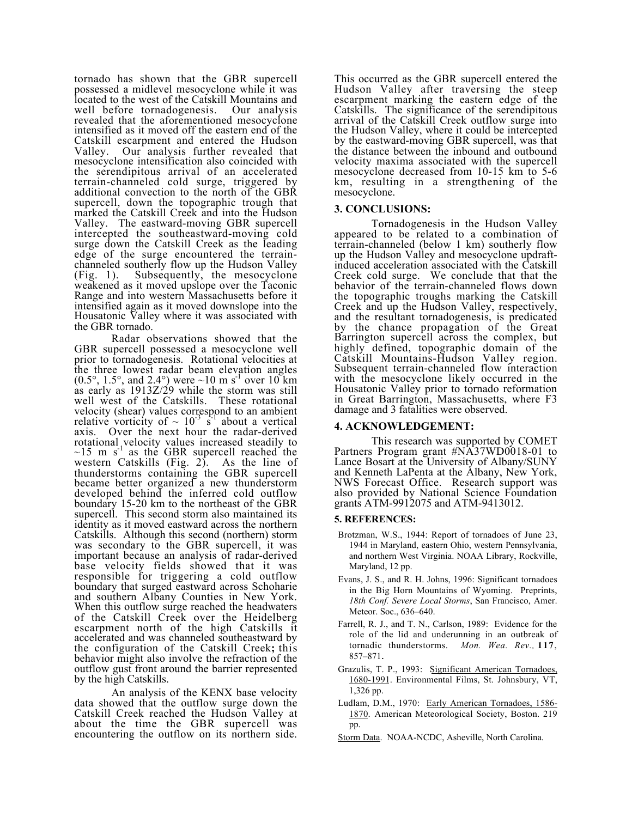tornado has shown that the GBR supercell possessed a midlevel mesocyclone while it was located to the west of the Catskill Mountains and well before tornadogenesis. Our analysis revealed that the aforementioned mesocyclone intensified as it moved off the eastern end of the Catskill escarpment and entered the Hudson<br>Valley. Our analysis further revealed that Our analysis further revealed that mesocyclone intensification also coincided with the serendipitous arrival of an accelerated terrain-channeled cold surge, triggered by additional convection to the north of the GBR supercell, down the topographic trough that marked the Catskill Creek and into the Hudson Valley. The eastward-moving GBR supercell intercepted the southeastward-moving cold surge down the Catskill Creek as the leading edge of the surge encountered the terrainchanneled southerly flow up the Hudson Valley (Fig. 1). Subsequently, the mesocyclone weakened as it moved upslope over the Taconic Range and into western Massachusetts before it intensified again as it moved downslope into the Housatonic Valley where it was associated with the GBR tornado.

Radar observations showed that the GBR supercell possessed a mesocyclone well prior to tornadogenesis. Rotational velocities at the three lowest radar beam elevation angles  $(0.5^{\circ}, 1.5^{\circ}, \text{ and } 2.4^{\circ})$  were  $\sim 10 \text{ m s}^{-1}$  over 10 km as early as 1913Z/29 while the storm was still well west of the Catskills. These rotational velocity (shear) values correspond to an ambient relative vorticity of  $\sim 10^{-3}$  s<sup>1</sup> about a vertical axis. Over the next hour the radar-derived rotational velocity values increased steadily to  $\sim$ 15 m s<sup>-1</sup> as the GBR supercell reached the western Catskills (Fig. 2). As the line of thunderstorms containing the GBR supercell became better organized a new thunderstorm developed behind the inferred cold outflow boundary 15-20 km to the northeast of the GBR supercell. This second storm also maintained its identity as it moved eastward across the northern Catskills. Although this second (northern) storm was secondary to the GBR supercell, it was important because an analysis of radar-derived base velocity fields showed that it was responsible for triggering a cold outflow boundary that surged eastward across Schoharie and southern Albany Counties in New York. When this outflow surge reached the headwaters of the Catskill Creek over the Heidelberg escarpment north of the high Catskills it accelerated and was channeled southeastward by the configuration of the Catskill Creek; this behavior might also involve the refraction of the outflow gust front around the barrier represented by the high Catskills.

An analysis of the KENX base velocity data showed that the outflow surge down the Catskill Creek reached the Hudson Valley at about the time the GBR supercell was encountering the outflow on its northern side.

This occurred as the GBR supercell entered the Hudson Valley after traversing the steep escarpment marking the eastern edge of the Catskills. The significance of the serendipitous arrival of the Catskill Creek outflow surge into the Hudson Valley, where it could be intercepted by the eastward-moving GBR supercell, was that the distance between the inbound and outbound velocity maxima associated with the supercell mesocyclone decreased from 10-15 km to 5-6 km, resulting in a strengthening of the mesocyclone.

## 3. CONCLUSIONS:

Tornadogenesis in the Hudson Valley appeared to be related to a combination of terrain-channeled (below 1 km) southerly flow up the Hudson Valley and mesocyclone updraftinduced acceleration associated with the Catskill Creek cold surge. We conclude that that the behavior of the terrain-channeled flows down the topographic troughs marking the Catskill Creek and up the Hudson Valley, respectively, and the resultant tornadogenesis, is predicated by the chance propagation of the Great Barrington supercell across the complex, but highly defined, topographic domain of the Catskill Mountains-Hudson Valley region. Subsequent terrain-channeled flow interaction with the mesocyclone likely occurred in the Housatonic Valley prior to tornado reformation in Great Barrington, Massachusetts, where F3 damage and 3 fatalities were observed.

## 4. ACKNOWLEDGEMENT:

This research was supported by COMET Partners Program grant #NA37WD0018-01 to Lance Bosart at the University of Albany/SUNY and Kenneth LaPenta at the Albany, New York, NWS Forecast Office. Research support was also provided by National Science Foundation grants ATM-9912075 and ATM-9413012.

## 5. REFERENCES:

- Brotzman, W.S., 1944: Report of tornadoes of June 23, 1944 in Maryland, eastern Ohio, western Pennsylvania, and northern West Virginia. NOAA Library, Rockville, Maryland, 12 pp.
- Evans, J. S., and R. H. Johns, 1996: Significant tornadoes in the Big Horn Mountains of Wyoming. Preprints, *18th Conf. Severe Local Storms*, San Francisco, Amer. Meteor. Soc., 636–640.
- Farrell, R. J., and T. N., Carlson, 1989: Evidence for the role of the lid and underunning in an outbreak of tornadic thunderstorms. *Mon. Wea. Rev.,* 117, 857–871.
- Grazulis, T. P., 1993: Significant American Tornadoes, 1680-1991. Environmental Films, St. Johnsbury, VT, 1,326 pp.
- Ludlam, D.M., 1970: Early American Tornadoes, 1586- 1870. American Meteorological Society, Boston. 219 pp.
- Storm Data. NOAA-NCDC, Asheville, North Carolina.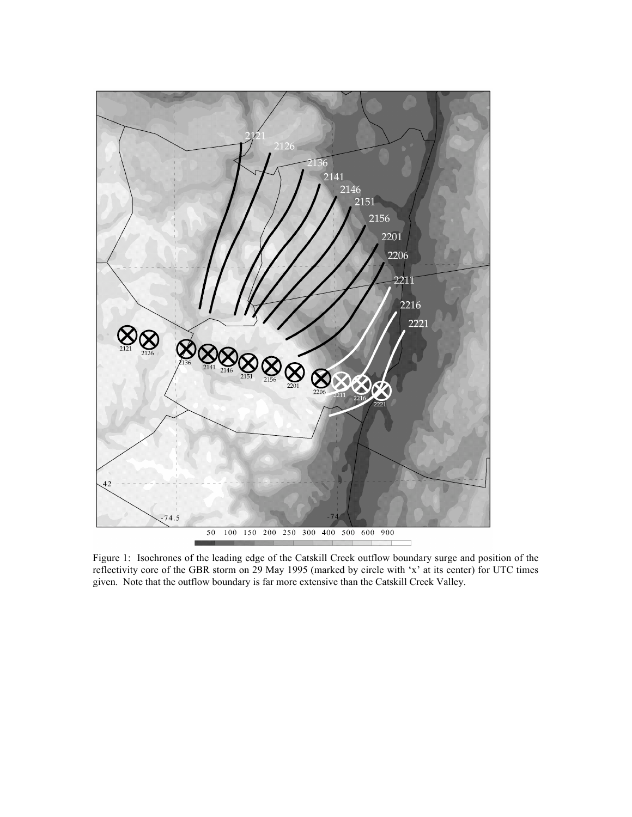

Figure 1: Isochrones of the leading edge of the Catskill Creek outflow boundary surge and position of the reflectivity core of the GBR storm on 29 May 1995 (marked by circle with 'x' at its center) for UTC times given. Note that the outflow boundary is far more extensive than the Catskill Creek Valley.